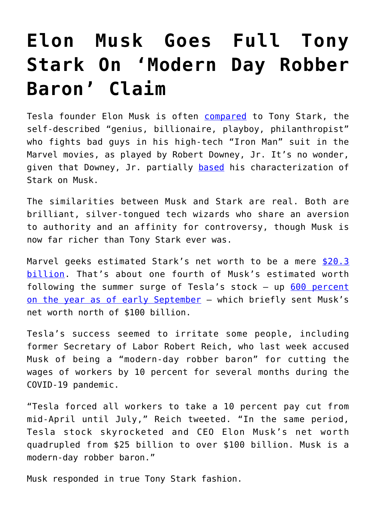## **[Elon Musk Goes Full Tony](https://intellectualtakeout.org/2020/09/elon-musk-goes-full-tony-stark-on-modern-day-robber-baron-claim/) [Stark On 'Modern Day Robber](https://intellectualtakeout.org/2020/09/elon-musk-goes-full-tony-stark-on-modern-day-robber-baron-claim/) [Baron' Claim](https://intellectualtakeout.org/2020/09/elon-musk-goes-full-tony-stark-on-modern-day-robber-baron-claim/)**

Tesla founder Elon Musk is often **[compared](https://www.youtube.com/watch?v=4wDG-7HVaM8)** to Tony Stark, the self-described "genius, billionaire, playboy, philanthropist" who fights bad guys in his high-tech "Iron Man" suit in the Marvel movies, as played by Robert Downey, Jr. It's no wonder, given that Downey, Jr. partially [based](https://www.linkedin.com/pulse/true-story-elon-musk-robert-downey-jr-tony-stark-ashlee-vance/) his characterization of Stark on Musk.

The similarities between Musk and Stark are real. Both are brilliant, silver-tongued tech wizards who share an aversion to authority and an affinity for controversy, though Musk is now far richer than Tony Stark ever was.

Marvel geeks estimated Stark's net worth to be a mere [\\$20.3](https://money.com/richest-superheroes-comic-con/#:~:text=Tony%20Stark%20%E2%80%93%20Net%20Worth%3A%20%2412.4%20billion) [billion.](https://money.com/richest-superheroes-comic-con/#:~:text=Tony%20Stark%20%E2%80%93%20Net%20Worth%3A%20%2412.4%20billion) That's about one fourth of Musk's estimated worth following the summer surge of Tesla's stock – up [600 percent](https://finance.yahoo.com/news/as-tesla-surges-600-off-its-2020-low-meet-the-next-electric-newcomer-going-public-104542218.html) [on the year as of early September](https://finance.yahoo.com/news/as-tesla-surges-600-off-its-2020-low-meet-the-next-electric-newcomer-going-public-104542218.html) - which briefly sent Musk's net worth north of \$100 billion.

Tesla's success seemed to irritate some people, including former Secretary of Labor Robert Reich, who last week accused Musk of being a "modern-day robber baron" for cutting the wages of workers by 10 percent for several months during the COVID-19 pandemic.

"Tesla forced all workers to take a 10 percent pay cut from mid-April until July," Reich tweeted. "In the same period, Tesla stock skyrocketed and CEO Elon Musk's net worth quadrupled from \$25 billion to over \$100 billion. Musk is a modern-day robber baron."

Musk responded in true Tony Stark fashion.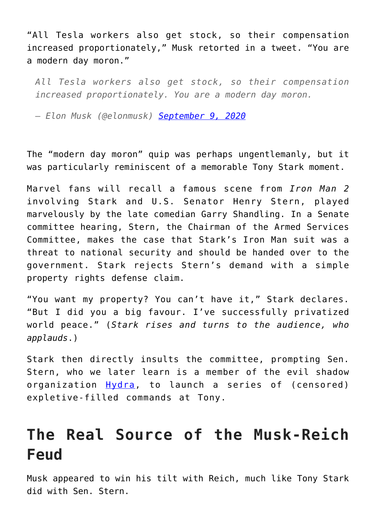"All Tesla workers also get stock, so their compensation increased proportionately," Musk retorted in a tweet. "You are a modern day moron."

*All Tesla workers also get stock, so their compensation increased proportionately. You are a modern day moron.*

*— Elon Musk (@elonmusk) [September 9, 2020](https://twitter.com/elonmusk/status/1303743774330441728?ref_src=twsrc%5Etfw)*

The "modern day moron" quip was perhaps ungentlemanly, but it was particularly reminiscent of a memorable Tony Stark moment.

Marvel fans will recall a famous scene from *Iron Man 2* involving Stark and U.S. Senator Henry Stern, played marvelously by the late comedian Garry Shandling. In a Senate committee hearing, Stern, the Chairman of the Armed Services Committee, makes the case that Stark's Iron Man suit was a threat to national security and should be handed over to the government. Stark rejects Stern's demand with a simple property rights defense claim.

"You want my property? You can't have it," Stark declares. "But I did you a big favour. I've successfully privatized world peace." (*Stark rises and turns to the audience, who applauds*.)

Stark then directly insults the committee, prompting Sen. Stern, who we later learn is a member of the evil shadow organization [Hydra](https://marvelcinematicuniverse.fandom.com/wiki/HYDRA), to launch a series of (censored) expletive-filled commands at Tony.

## **The Real Source of the Musk-Reich Feud**

Musk appeared to win his tilt with Reich, much like Tony Stark did with Sen. Stern.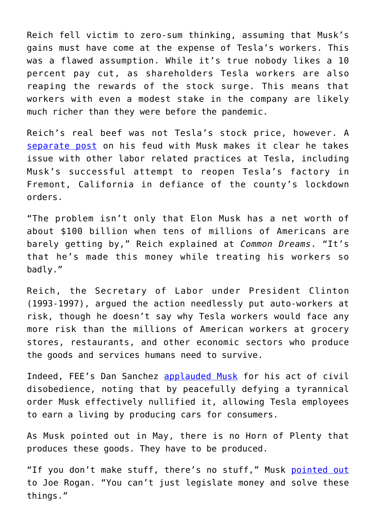Reich fell victim to zero-sum thinking, assuming that Musk's gains must have come at the expense of Tesla's workers. This was a flawed assumption. While it's true nobody likes a 10 percent pay cut, as shareholders Tesla workers are also reaping the rewards of the stock surge. This means that workers with even a modest stake in the company are likely much richer than they were before the pandemic.

Reich's real beef was not Tesla's stock price, however. A [separate post](https://www.commondreams.org/views/2020/09/13/citizen-musk) on his feud with Musk makes it clear he takes issue with other labor related practices at Tesla, including Musk's successful attempt to reopen Tesla's factory in Fremont, California in defiance of the county's lockdown orders.

"The problem isn't only that Elon Musk has a net worth of about \$100 billion when tens of millions of Americans are barely getting by," Reich explained at *Common Dreams*. "It's that he's made this money while treating his workers so badly."

Reich, the Secretary of Labor under President Clinton (1993-1997), argued the action needlessly put auto-workers at risk, though he doesn't say why Tesla workers would face any more risk than the millions of American workers at grocery stores, restaurants, and other economic sectors who produce the goods and services humans need to survive.

Indeed, FEE's Dan Sanchez [applauded Musk](https://fee.org/articles/elon-musks-act-of-civil-disobedience-pays-off-as-california-health-officials-back-down/) for his act of civil disobedience, noting that by peacefully defying a tyrannical order Musk effectively nullified it, allowing Tesla employees to earn a living by producing cars for consumers.

As Musk pointed out in May, there is no Horn of Plenty that produces these goods. They have to be produced.

"If you don't make stuff, there's no stuff," Musk [pointed out](https://fee.org/articles/elon-musk-s-economic-truth-bomb-to-joe-rogan/) to Joe Rogan. "You can't just legislate money and solve these things."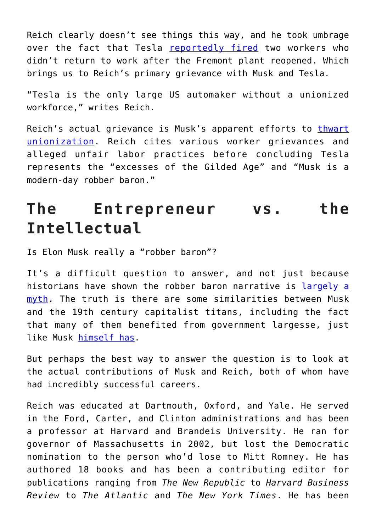Reich clearly doesn't see things this way, and he took umbrage over the fact that Tesla [reportedly fired](https://www.businessinsider.com/tesla-fires-workers-after-allowing-stay-home-coronavirus-washington-post-2020-6) two workers who didn't return to work after the Fremont plant reopened. Which brings us to Reich's primary grievance with Musk and Tesla.

"Tesla is the only large US automaker without a unionized workforce," writes Reich.

Reich's actual grievance is Musk's apparent efforts to [thwart](https://www.theguardian.com/technology/2018/sep/10/tesla-workers-union-elon-musk) [unionization.](https://www.theguardian.com/technology/2018/sep/10/tesla-workers-union-elon-musk) Reich cites various worker grievances and alleged unfair labor practices before concluding Tesla represents the "excesses of the Gilded Age" and "Musk is a modern-day robber baron."

## **The Entrepreneur vs. the Intellectual**

Is Elon Musk really a "robber baron"?

It's a difficult question to answer, and not just because historians have shown the robber baron narrative is [largely a](https://fee.org/articles/how-the-myth-of-the-robber-barons-began-and-why-it-persists/) [myth.](https://fee.org/articles/how-the-myth-of-the-robber-barons-began-and-why-it-persists/) The truth is there are some similarities between Musk and the 19th century capitalist titans, including the fact that many of them benefited from government largesse, just like Musk [himself has](https://www.latimes.com/business/la-fi-hy-musk-subsidies-20150531-story.html).

But perhaps the best way to answer the question is to look at the actual contributions of Musk and Reich, both of whom have had incredibly successful careers.

Reich was educated at Dartmouth, Oxford, and Yale. He served in the Ford, Carter, and Clinton administrations and has been a professor at Harvard and Brandeis University. He ran for governor of Massachusetts in 2002, but lost the Democratic nomination to the person who'd lose to Mitt Romney. He has authored 18 books and has been a contributing editor for publications ranging from *The New Republic* to *Harvard Business Review* to *The Atlantic* and *The New York Times*. He has been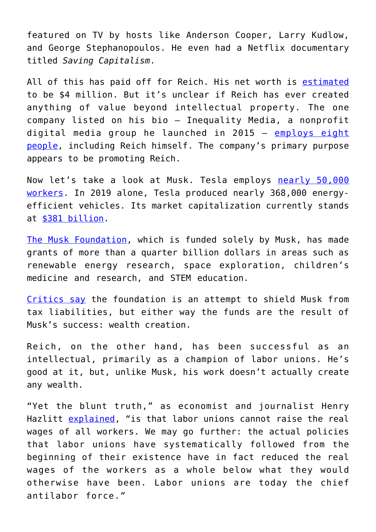featured on TV by hosts like Anderson Cooper, Larry Kudlow, and George Stephanopoulos. He even had a Netflix documentary titled *Saving Capitalism*.

All of this has paid off for Reich. His net worth is [estimated](https://www.celebritynetworth.com/richest-politicians/democrats/robert-reich-net-worth/) to be \$4 million. But it's unclear if Reich has ever created anything of value beyond intellectual property. The one company listed on his bio – Inequality Media, a nonprofit digital media group he launched in 2015 – [employs eight](https://www.inequalitymedia.org/team) [people,](https://www.inequalitymedia.org/team) including Reich himself. The company's primary purpose appears to be promoting Reich.

Now let's take a look at Musk. Tesla employs [nearly 50,000](https://www.statista.com/statistics/314768/number-of-tesla-employees/) [workers.](https://www.statista.com/statistics/314768/number-of-tesla-employees/) In 2019 alone, Tesla produced nearly 368,000 energyefficient vehicles. Its market capitalization currently stands at [\\$381 billion](https://robinhood.com/stocks/TSLA).

[The Musk Foundation](https://www.influencewatch.org/non-profit/musk-foundation/), which is funded solely by Musk, has made grants of more than a quarter billion dollars in areas such as renewable energy research, space exploration, children's medicine and research, and STEM education.

[Critics say](https://theoutline.com/post/5707/elon-musk-has-a-quarter-billion-dollars-of-tesla-shares-parked-in-a-non-profit?zd=1&zi=2vmvl557) the foundation is an attempt to shield Musk from tax liabilities, but either way the funds are the result of Musk's success: wealth creation.

Reich, on the other hand, has been successful as an intellectual, primarily as a champion of labor unions. He's good at it, but, unlike Musk, his work doesn't actually create any wealth.

"Yet the blunt truth," as economist and journalist Henry Hazlitt **explained**, "is that labor unions cannot raise the real wages of all workers. We may go further: the actual policies that labor unions have systematically followed from the beginning of their existence have in fact reduced the real wages of the workers as a whole below what they would otherwise have been. Labor unions are today the chief antilabor force."